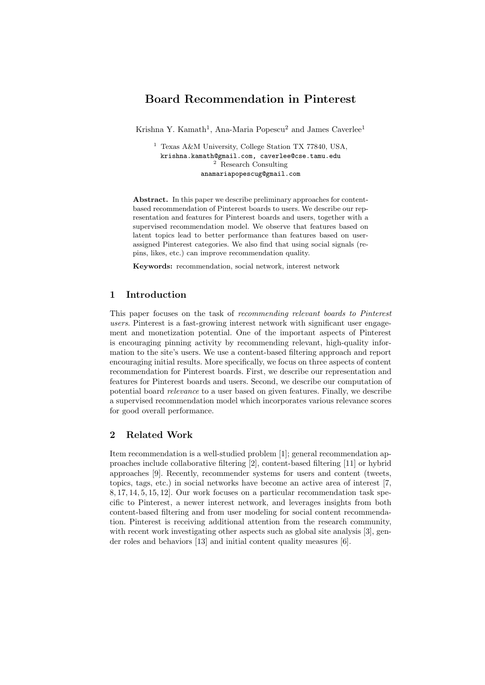# Board Recommendation in Pinterest

Krishna Y. Kamath<sup>1</sup>, Ana-Maria Popescu<sup>2</sup> and James Caverlee<sup>1</sup>

<sup>1</sup> Texas A&M University, College Station TX 77840, USA, krishna.kamath@gmail.com, caverlee@cse.tamu.edu <sup>2</sup> Research Consulting anamariapopescug@gmail.com

Abstract. In this paper we describe preliminary approaches for contentbased recommendation of Pinterest boards to users. We describe our representation and features for Pinterest boards and users, together with a supervised recommendation model. We observe that features based on latent topics lead to better performance than features based on userassigned Pinterest categories. We also find that using social signals (repins, likes, etc.) can improve recommendation quality.

Keywords: recommendation, social network, interest network

## 1 Introduction

This paper focuses on the task of recommending relevant boards to Pinterest users. Pinterest is a fast-growing interest network with significant user engagement and monetization potential. One of the important aspects of Pinterest is encouraging pinning activity by recommending relevant, high-quality information to the site's users. We use a content-based filtering approach and report encouraging initial results. More specifically, we focus on three aspects of content recommendation for Pinterest boards. First, we describe our representation and features for Pinterest boards and users. Second, we describe our computation of potential board relevance to a user based on given features. Finally, we describe a supervised recommendation model which incorporates various relevance scores for good overall performance.

# 2 Related Work

Item recommendation is a well-studied problem [1]; general recommendation approaches include collaborative filtering [2], content-based filtering [11] or hybrid approaches [9]. Recently, recommender systems for users and content (tweets, topics, tags, etc.) in social networks have become an active area of interest [7, 8, 17, 14, 5, 15, 12]. Our work focuses on a particular recommendation task specific to Pinterest, a newer interest network, and leverages insights from both content-based filtering and from user modeling for social content recommendation. Pinterest is receiving additional attention from the research community, with recent work investigating other aspects such as global site analysis [3], gender roles and behaviors [13] and initial content quality measures [6].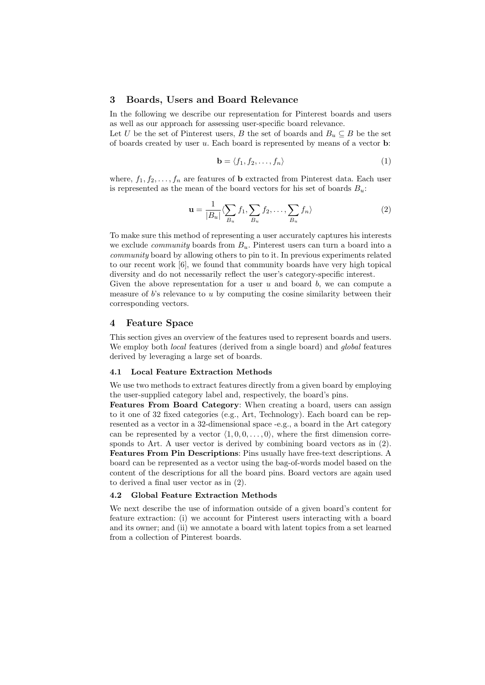### 3 Boards, Users and Board Relevance

In the following we describe our representation for Pinterest boards and users as well as our approach for assessing user-specific board relevance.

Let U be the set of Pinterest users, B the set of boards and  $B_u \subseteq B$  be the set of boards created by user u. Each board is represented by means of a vector b:

$$
\mathbf{b} = \langle f_1, f_2, \dots, f_n \rangle \tag{1}
$$

where,  $f_1, f_2, \ldots, f_n$  are features of **b** extracted from Pinterest data. Each user is represented as the mean of the board vectors for his set of boards  $B_u$ :

$$
\mathbf{u} = \frac{1}{|B_u|} \langle \sum_{B_u} f_1, \sum_{B_u} f_2, \dots, \sum_{B_u} f_n \rangle \tag{2}
$$

To make sure this method of representing a user accurately captures his interests we exclude *community* boards from  $B_u$ . Pinterest users can turn a board into a community board by allowing others to pin to it. In previous experiments related to our recent work [6], we found that community boards have very high topical diversity and do not necessarily reflect the user's category-specific interest.

Given the above representation for a user  $u$  and board  $b$ , we can compute a measure of  $b$ 's relevance to  $u$  by computing the cosine similarity between their corresponding vectors.

### 4 Feature Space

This section gives an overview of the features used to represent boards and users. We employ both *local* features (derived from a single board) and *global* features derived by leveraging a large set of boards.

### 4.1 Local Feature Extraction Methods

We use two methods to extract features directly from a given board by employing the user-supplied category label and, respectively, the board's pins.

Features From Board Category: When creating a board, users can assign to it one of 32 fixed categories (e.g., Art, Technology). Each board can be represented as a vector in a 32-dimensional space -e.g., a board in the Art category can be represented by a vector  $\langle 1, 0, 0, \ldots, 0 \rangle$ , where the first dimension corresponds to Art. A user vector is derived by combining board vectors as in (2). Features From Pin Descriptions: Pins usually have free-text descriptions. A board can be represented as a vector using the bag-of-words model based on the content of the descriptions for all the board pins. Board vectors are again used to derived a final user vector as in (2).

#### 4.2 Global Feature Extraction Methods

We next describe the use of information outside of a given board's content for feature extraction: (i) we account for Pinterest users interacting with a board and its owner; and (ii) we annotate a board with latent topics from a set learned from a collection of Pinterest boards.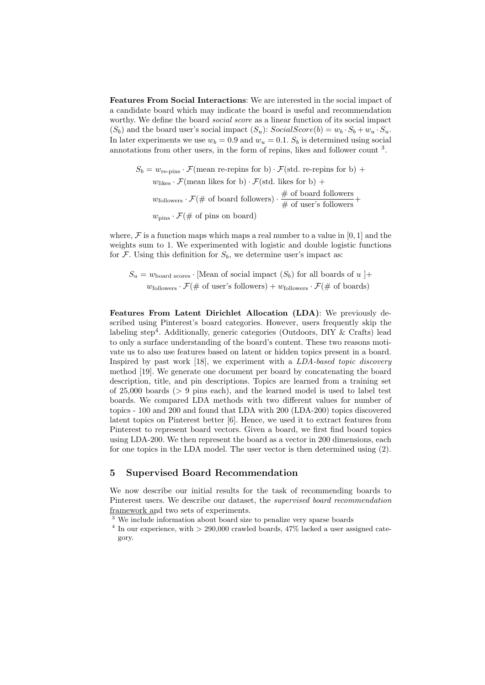Features From Social Interactions: We are interested in the social impact of a candidate board which may indicate the board is useful and recommendation worthy. We define the board *social score* as a linear function of its social impact  $(S_b)$  and the board user's social impact  $(S_u)$ :  $SocialScore(b) = w_b \cdot S_b + w_u \cdot S_u$ . In later experiments we use  $w_b = 0.9$  and  $w_u = 0.1$ .  $S_b$  is determined using social annotations from other users, in the form of repins, likes and follower count <sup>3</sup>.

$$
S_b = w_{\text{re-pins}} \cdot \mathcal{F}(\text{mean re-repins for b}) \cdot \mathcal{F}(\text{std. re-repins for b}) + w_{\text{likes}} \cdot \mathcal{F}(\text{mean likes for b}) \cdot \mathcal{F}(\text{std. likes for b}) + w_{\text{followers}} \cdot \mathcal{F}(\# \text{ of board follows}) \cdot \frac{\# \text{ of board follows}}{\# \text{ of user's follows}} + w_{\text{pins}} \cdot \mathcal{F}(\# \text{ of pins on board})
$$

where,  $\mathcal F$  is a function maps which maps a real number to a value in [0, 1] and the weights sum to 1. We experimented with logistic and double logistic functions for  $\mathcal F$ . Using this definition for  $S_b$ , we determine user's impact as:

 $S_u = w_{\text{board scores}} \cdot$  [Mean of social impact  $(S_b)$  for all boards of  $u$ ]+  $w_{\text{followers}} \cdot \mathcal{F}(\# \text{ of user's follows}) + w_{\text{followers}} \cdot \mathcal{F}(\# \text{ of boards})$ 

Features From Latent Dirichlet Allocation (LDA): We previously described using Pinterest's board categories. However, users frequently skip the labeling step<sup>4</sup>. Additionally, generic categories (Outdoors, DIY & Crafts) lead to only a surface understanding of the board's content. These two reasons motivate us to also use features based on latent or hidden topics present in a board. Inspired by past work [18], we experiment with a LDA-based topic discovery method [19]. We generate one document per board by concatenating the board description, title, and pin descriptions. Topics are learned from a training set of 25,000 boards (> 9 pins each), and the learned model is used to label test boards. We compared LDA methods with two different values for number of topics - 100 and 200 and found that LDA with 200 (LDA-200) topics discovered latent topics on Pinterest better [6]. Hence, we used it to extract features from Pinterest to represent board vectors. Given a board, we first find board topics using LDA-200. We then represent the board as a vector in 200 dimensions, each for one topics in the LDA model. The user vector is then determined using (2).

## 5 Supervised Board Recommendation

We now describe our initial results for the task of recommending boards to Pinterest users. We describe our dataset, the supervised board recommendation framework and two sets of experiments.

<sup>3</sup> We include information about board size to penalize very sparse boards

<sup>&</sup>lt;sup>4</sup> In our experience, with  $> 290,000$  crawled boards, 47% lacked a user assigned category.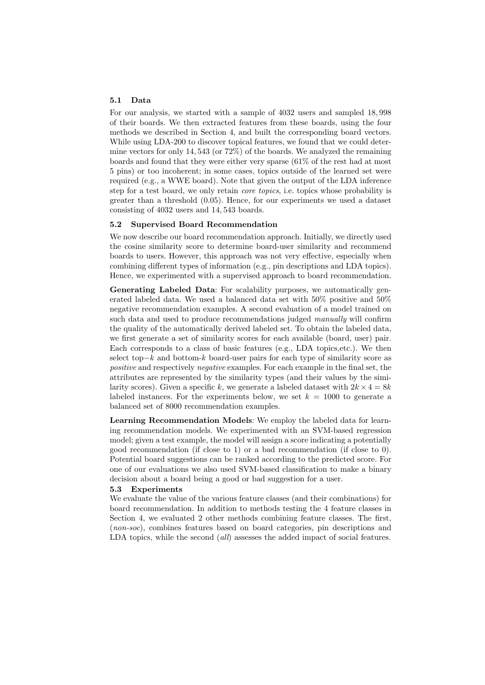### 5.1 Data

For our analysis, we started with a sample of 4032 users and sampled 18, 998 of their boards. We then extracted features from these boards, using the four methods we described in Section 4, and built the corresponding board vectors. While using LDA-200 to discover topical features, we found that we could determine vectors for only 14, 543 (or 72%) of the boards. We analyzed the remaining boards and found that they were either very sparse (61% of the rest had at most 5 pins) or too incoherent; in some cases, topics outside of the learned set were required (e.g., a WWE board). Note that given the output of the LDA inference step for a test board, we only retain *core topics*, i.e. topics whose probability is greater than a threshold (0.05). Hence, for our experiments we used a dataset consisting of 4032 users and 14, 543 boards.

#### 5.2 Supervised Board Recommendation

We now describe our board recommendation approach. Initially, we directly used the cosine similarity score to determine board-user similarity and recommend boards to users. However, this approach was not very effective, especially when combining different types of information (e.g., pin descriptions and LDA topics). Hence, we experimented with a supervised approach to board recommendation.

Generating Labeled Data: For scalability purposes, we automatically generated labeled data. We used a balanced data set with 50% positive and 50% negative recommendation examples. A second evaluation of a model trained on such data and used to produce recommendations judged *manually* will confirm the quality of the automatically derived labeled set. To obtain the labeled data, we first generate a set of similarity scores for each available (board, user) pair. Each corresponds to a class of basic features (e.g., LDA topics,etc.). We then select top−k and bottom-k board-user pairs for each type of similarity score as positive and respectively negative examples. For each example in the final set, the attributes are represented by the similarity types (and their values by the similarity scores). Given a specific k, we generate a labeled dataset with  $2k \times 4 = 8k$ labeled instances. For the experiments below, we set  $k = 1000$  to generate a balanced set of 8000 recommendation examples.

Learning Recommendation Models: We employ the labeled data for learning recommendation models. We experimented with an SVM-based regression model; given a test example, the model will assign a score indicating a potentially good recommendation (if close to 1) or a bad recommendation (if close to 0). Potential board suggestions can be ranked according to the predicted score. For one of our evaluations we also used SVM-based classification to make a binary decision about a board being a good or bad suggestion for a user.

#### 5.3 Experiments

We evaluate the value of the various feature classes (and their combinations) for board recommendation. In addition to methods testing the 4 feature classes in Section 4, we evaluated 2 other methods combining feature classes. The first, (non-soc), combines features based on board categories, pin descriptions and LDA topics, while the second (all) assesses the added impact of social features.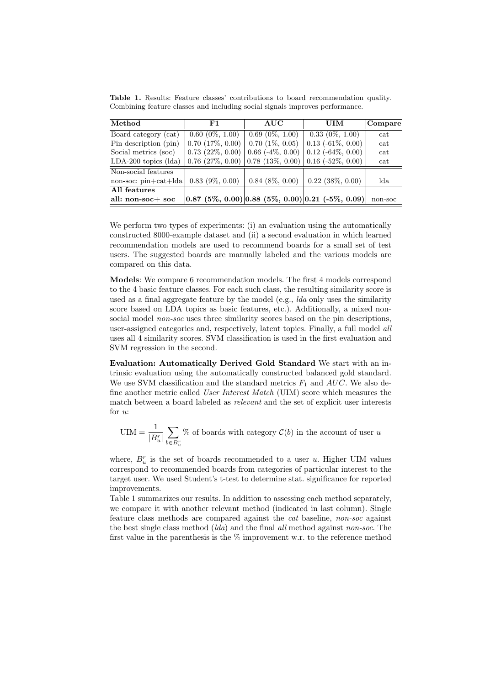Table 1. Results: Feature classes' contributions to board recommendation quality. Combining feature classes and including social signals improves performance.

| Method                    | F1                                   | <b>AUC</b>                 | UIM                                                                                 | Compare |
|---------------------------|--------------------------------------|----------------------------|-------------------------------------------------------------------------------------|---------|
| Board category (cat)      | $0.60(0\%, 1.00)$                    | $0.69(0\%, 1.00)$          | $0.33(0\%, 1.00)$                                                                   | cat     |
| Pin description (pin)     | $\mid 0.70 \ (17\%, \ 0.00) \rangle$ | $0.70$ $(1\%, 0.05)$       | $0.13$ ( $-61\%$ , $0.00$ )                                                         | cat     |
| Social metrics (soc)      | $0.73(22\%, 0.00)$                   | $0.66$ ( $-4\%$ , $0.00$ ) | $0.12$ ( $-64\%$ , $0.00$ )                                                         | cat     |
| $LDA-200$ topics $(lda)$  |                                      |                            | $\mid 0.76 \ (27\%, \ 0.00) \mid 0.78 \ (13\%, \ 0.00) \mid 0.16 \ (-52\%, \ 0.00)$ | cat     |
| Non-social features       |                                      |                            |                                                                                     |         |
| $non-soc: pin + cat +lda$ | $0.83$ (9\%, 0.00)                   | $0.84$ $(8\%, 0.00)$       | $0.22$ $(38\%, 0.00)$                                                               | lda     |
| All features              |                                      |                            |                                                                                     |         |
| all: non-soc+ soc         |                                      |                            | $(0.87 (5\%, 0.00)   0.88 (5\%, 0.00)   0.21 (-5\%, 0.09)$                          | non-soc |

We perform two types of experiments: (i) an evaluation using the automatically constructed 8000-example dataset and (ii) a second evaluation in which learned recommendation models are used to recommend boards for a small set of test users. The suggested boards are manually labeled and the various models are compared on this data.

Models: We compare 6 recommendation models. The first 4 models correspond to the 4 basic feature classes. For each such class, the resulting similarity score is used as a final aggregate feature by the model (e.g., lda only uses the similarity score based on LDA topics as basic features, etc.). Additionally, a mixed nonsocial model *non-soc* uses three similarity scores based on the pin descriptions, user-assigned categories and, respectively, latent topics. Finally, a full model all uses all 4 similarity scores. SVM classification is used in the first evaluation and SVM regression in the second.

Evaluation: Automatically Derived Gold Standard We start with an intrinsic evaluation using the automatically constructed balanced gold standard. We use SVM classification and the standard metrics  $F_1$  and  $AUC$ . We also define another metric called User Interest Match (UIM) score which measures the match between a board labeled as relevant and the set of explicit user interests for u:

$$
\text{UIM} = \frac{1}{|B_u^r|} \sum_{b \in B_u^r} \%
$$
 of boards with category  $\mathcal{C}(b)$  in the account of user  $u$ 

where,  $B_u^r$  is the set of boards recommended to a user u. Higher UIM values correspond to recommended boards from categories of particular interest to the target user. We used Student's t-test to determine stat. significance for reported improvements.

Table 1 summarizes our results. In addition to assessing each method separately, we compare it with another relevant method (indicated in last column). Single feature class methods are compared against the cat baseline, non-soc against the best single class method (*lda*) and the final *all* method against *non-soc*. The first value in the parenthesis is the  $\%$  improvement w.r. to the reference method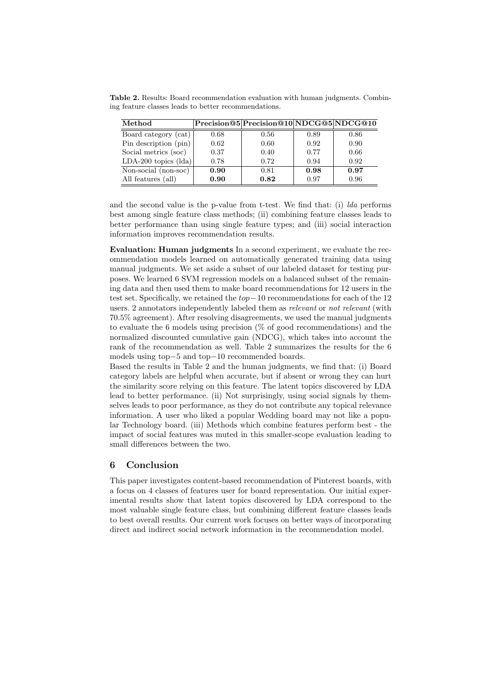Table 2. Results: Board recommendation evaluation with human judgments. Combining feature classes leads to better recommendations.

| Method                        |      | Precision@5 Precision@10 NDCG@5 NDCG@10 |      |      |
|-------------------------------|------|-----------------------------------------|------|------|
| Board category (cat)          | 0.68 | 0.56                                    | 0.89 | 0.86 |
| Pin description (pin)         | 0.62 | 0.60                                    | 0.92 | 0.90 |
| Social metrics (soc)          | 0.37 | 0.40                                    | 0.77 | 0.66 |
| LDA-200 topics $(\text{lda})$ | 0.78 | 0.72                                    | 0.94 | 0.92 |
| Non-social (non-soc)          | 0.90 | 0.81                                    | 0.98 | 0.97 |
| All features (all)            | 0.90 | 0.82                                    | 0.97 | 0.96 |

and the second value is the p-value from t-test. We find that: (i) lda performs best among single feature class methods; (ii) combining feature classes leads to better performance than using single feature types; and (iii) social interaction information improves recommendation results.

Evaluation: Human judgments In a second experiment, we evaluate the recommendation models learned on automatically generated training data using manual judgments. We set aside a subset of our labeled dataset for testing purposes. We learned 6 SVM regression models on a balanced subset of the remaining data and then used them to make board recommendations for 12 users in the test set. Specifically, we retained the top−10 recommendations for each of the 12 users. 2 annotators independently labeled them as relevant or not relevant (with 70.5% agreement). After resolving disagreements, we used the manual judgments to evaluate the 6 models using precision  $(\%$  of good recommendations) and the normalized discounted cumulative gain (NDCG), which takes into account the rank of the recommendation as well. Table 2 summarizes the results for the 6 models using top−5 and top−10 recommended boards.

Based the results in Table 2 and the human judgments, we find that: (i) Board category labels are helpful when accurate, but if absent or wrong they can hurt the similarity score relying on this feature. The latent topics discovered by LDA lead to better performance. (ii) Not surprisingly, using social signals by themselves leads to poor performance, as they do not contribute any topical relevance information. A user who liked a popular Wedding board may not like a popular Technology board. (iii) Methods which combine features perform best - the impact of social features was muted in this smaller-scope evaluation leading to small differences between the two.

### 6 Conclusion

This paper investigates content-based recommendation of Pinterest boards, with a focus on 4 classes of features user for board representation. Our initial experimental results show that latent topics discovered by LDA correspond to the most valuable single feature class, but combining different feature classes leads to best overall results. Our current work focuses on better ways of incorporating direct and indirect social network information in the recommendation model.